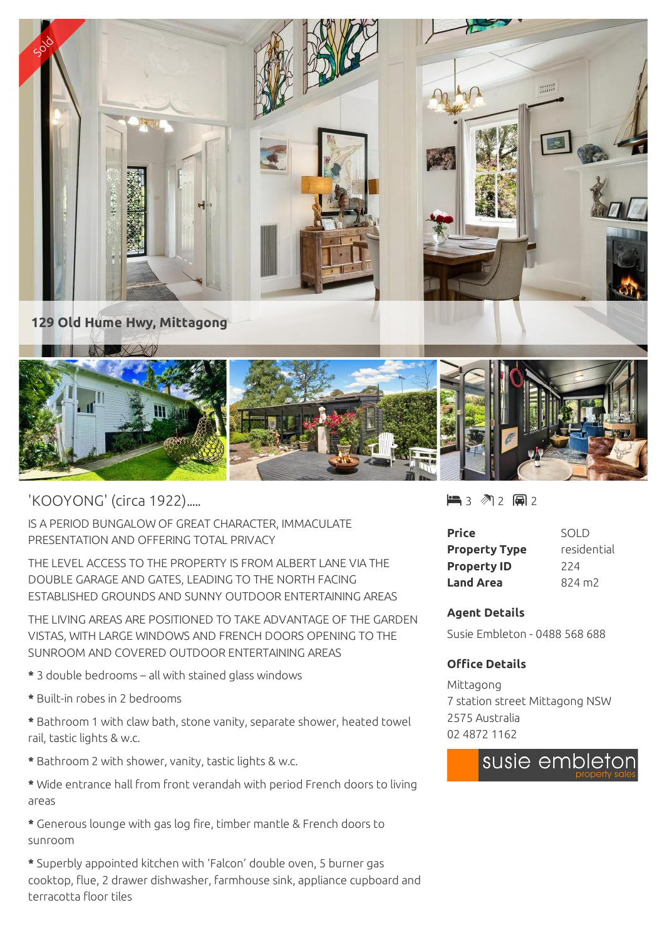

'KOOYONG' (circa 1922).....

IS A PERIOD BUNGALOW OF GREAT CHARACTER, IMMACULATE PRESENTATION AND OFFERING TOTAL PRIVACY

THE LEVEL ACCESS TO THE PROPERTY IS FROM ALBERT LANE VIA THE DOUBLE GARAGE AND GATES, LEADING TO THE NORTH FACING ESTABLISHED GROUNDS AND SUNNY OUTDOOR ENTERTAINING AREAS

THE LIVING AREAS ARE POSITIONED TO TAKE ADVANTAGE OF THE GARDEN VISTAS, WITH LARGE WINDOWS AND FRENCH DOORS OPENING TO THE SUNROOM AND COVERED OUTDOOR ENTERTAINING AREAS

- **\*** 3 double bedrooms all with stained glass windows
- **\*** Built-in robes in 2 bedrooms
- **\*** Bathroom 1 with claw bath, stone vanity, separate shower, heated towel rail, tastic lights & w.c.
- **\*** Bathroom 2 with shower, vanity, tastic lights & w.c.
- **\*** Wide entrance hall from front verandah with period French doors to living areas
- **\*** Generous lounge with gas log fire, timber mantle & French doors to sunroom
- **\*** Superbly appointed kitchen with 'Falcon' double oven, 5 burner gas cooktop, flue, 2 drawer dishwasher, farmhouse sink, appliance cupboard and terracotta floor tiles

 $\blacksquare$  3 2 2 2 2

| Price                | SOI D           |
|----------------------|-----------------|
| <b>Property Type</b> | residential     |
| <b>Property ID</b>   | 224             |
| <b>Land Area</b>     | $824 \text{ m}$ |

## **Agent Details**

Susie Embleton - 0488 568 688

## **Office Details**

Mittagong 7 station street Mittagong NSW 2575 Australia 02 4872 1162